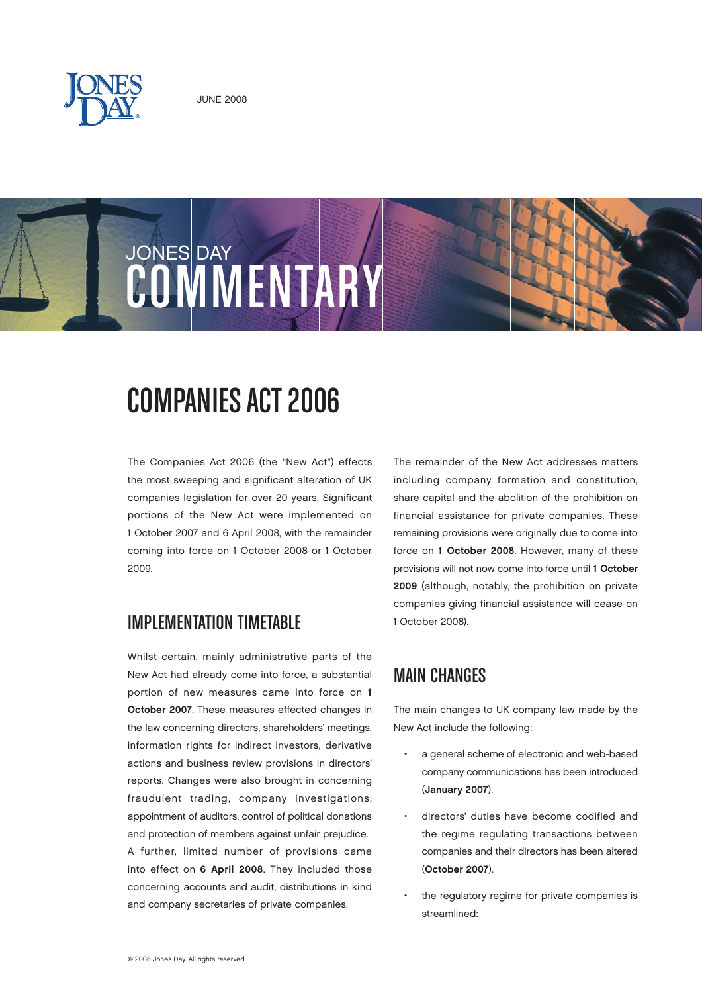





# COMPANIES ACT 2006

The Companies Act 2006 (the "New Act") effects the most sweeping and significant alteration of UK companies legislation for over 20 years. Significant portions of the New Act were implemented on 1 October 2007 and 6 April 2008, with the remainder coming into force on 1 October 2008 or 1 October 2009.

### IMPLEMENTATION TIMETABLE

Whilst certain, mainly administrative parts of the New Act had already come into force, a substantial portion of new measures came into force on 1 October 2007. These measures effected changes in the law concerning directors, shareholders' meetings, information rights for indirect investors, derivative actions and business review provisions in directors' reports. Changes were also brought in concerning fraudulent trading, company investigations, appointment of auditors, control of political donations and protection of members against unfair prejudice. A further, limited number of provisions came into effect on 6 April 2008. They included those concerning accounts and audit, distributions in kind and company secretaries of private companies.

The remainder of the New Act addresses matters including company formation and constitution, share capital and the abolition of the prohibition on financial assistance for private companies. These remaining provisions were originally due to come into force on 1 October 2008. However, many of these provisions will not now come into force until 1 October 2009 (although, notably, the prohibition on private companies giving financial assistance will cease on 1 October 2008).

# MAIN CHANGES

The main changes to UK company law made by the New Act include the following:

- a general scheme of electronic and web-based company communications has been introduced (January 2007).
- directors' duties have become codified and the regime regulating transactions between companies and their directors has been altered (October 2007).
- the regulatory regime for private companies is streamlined: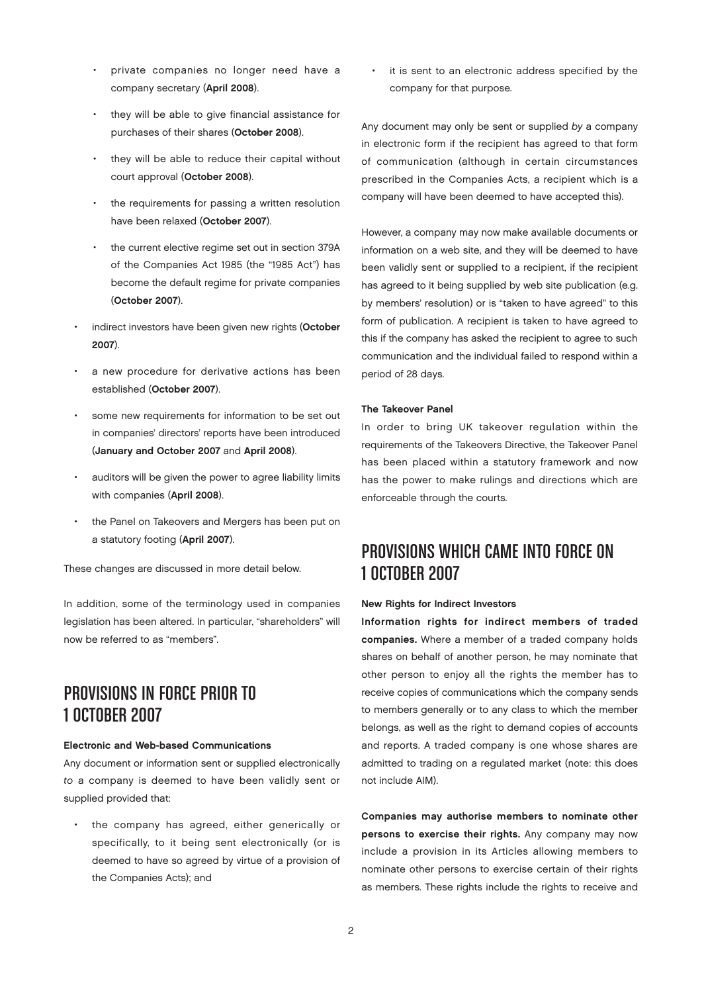- private companies no longer need have a company secretary (April 2008).
- they will be able to give financial assistance for purchases of their shares (October 2008).
- they will be able to reduce their capital without court approval (October 2008).
- the requirements for passing a written resolution have been relaxed (October 2007).
- the current elective regime set out in section 379A of the Companies Act 1985 (the "1985 Act") has become the default regime for private companies (October 2007).
- indirect investors have been given new rights (October 2007).
- a new procedure for derivative actions has been established (October 2007).
- some new requirements for information to be set out in companies' directors' reports have been introduced (January and October 2007 and April 2008).
- auditors will be given the power to agree liability limits with companies (April 2008).
- the Panel on Takeovers and Mergers has been put on a statutory footing (April 2007).

These changes are discussed in more detail below.

In addition, some of the terminology used in companies legislation has been altered. In particular, "shareholders" will now be referred to as "members".

# PROVISIONS IN FORCE PRIOR TO 1 OCTOBER 2007

#### Electronic and Web-based Communications

Any document or information sent or supplied electronically to a company is deemed to have been validly sent or supplied provided that:

• the company has agreed, either generically or specifically, to it being sent electronically (or is deemed to have so agreed by virtue of a provision of the Companies Acts); and

it is sent to an electronic address specified by the company for that purpose.

Any document may only be sent or supplied by a company in electronic form if the recipient has agreed to that form of communication (although in certain circumstances prescribed in the Companies Acts, a recipient which is a company will have been deemed to have accepted this).

However, a company may now make available documents or information on a web site, and they will be deemed to have been validly sent or supplied to a recipient, if the recipient has agreed to it being supplied by web site publication (e.g. by members' resolution) or is "taken to have agreed" to this form of publication. A recipient is taken to have agreed to this if the company has asked the recipient to agree to such communication and the individual failed to respond within a period of 28 days.

#### The Takeover Panel

In order to bring UK takeover regulation within the requirements of the Takeovers Directive, the Takeover Panel has been placed within a statutory framework and now has the power to make rulings and directions which are enforceable through the courts.

# PROVISIONS WHICH CAME INTO FORCE ON 1 OCTOBER 2007

#### New Rights for Indirect Investors

Information rights for indirect members of traded companies. Where a member of a traded company holds shares on behalf of another person, he may nominate that other person to enjoy all the rights the member has to receive copies of communications which the company sends to members generally or to any class to which the member belongs, as well as the right to demand copies of accounts and reports. A traded company is one whose shares are admitted to trading on a regulated market (note: this does not include AIM).

Companies may authorise members to nominate other persons to exercise their rights. Any company may now include a provision in its Articles allowing members to nominate other persons to exercise certain of their rights as members. These rights include the rights to receive and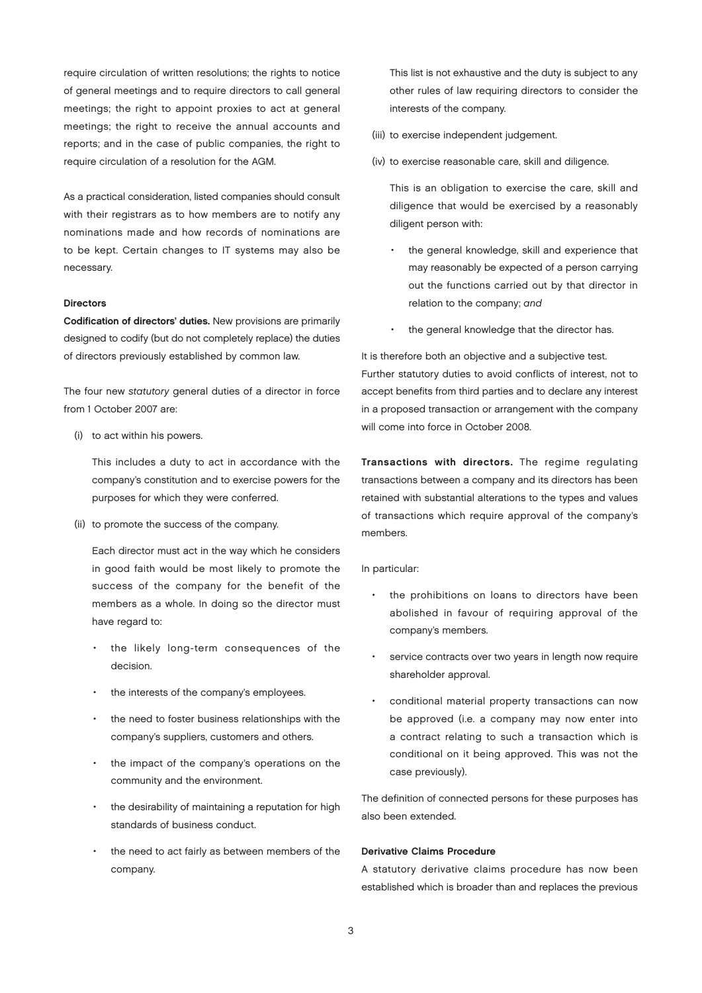require circulation of written resolutions; the rights to notice of general meetings and to require directors to call general meetings; the right to appoint proxies to act at general meetings; the right to receive the annual accounts and reports; and in the case of public companies, the right to require circulation of a resolution for the AGM.

As a practical consideration, listed companies should consult with their registrars as to how members are to notify any nominations made and how records of nominations are to be kept. Certain changes to IT systems may also be necessary.

#### Directors

Codification of directors' duties. New provisions are primarily designed to codify (but do not completely replace) the duties of directors previously established by common law.

The four new statutory general duties of a director in force from 1 October 2007 are:

(i) to act within his powers.

This includes a duty to act in accordance with the company's constitution and to exercise powers for the purposes for which they were conferred.

(ii) to promote the success of the company.

Each director must act in the way which he considers in good faith would be most likely to promote the success of the company for the benefit of the members as a whole. In doing so the director must have regard to:

- the likely long-term consequences of the decision.
- the interests of the company's employees.
- the need to foster business relationships with the company's suppliers, customers and others.
- the impact of the company's operations on the community and the environment.
- the desirability of maintaining a reputation for high standards of business conduct.
- the need to act fairly as between members of the company.

This list is not exhaustive and the duty is subject to any other rules of law requiring directors to consider the interests of the company.

- (iii) to exercise independent judgement.
- (iv) to exercise reasonable care, skill and diligence.

This is an obligation to exercise the care, skill and diligence that would be exercised by a reasonably diligent person with:

- the general knowledge, skill and experience that may reasonably be expected of a person carrying out the functions carried out by that director in relation to the company; and
- the general knowledge that the director has.

It is therefore both an objective and a subjective test. Further statutory duties to avoid conflicts of interest, not to accept benefits from third parties and to declare any interest in a proposed transaction or arrangement with the company will come into force in October 2008.

Transactions with directors. The regime regulating transactions between a company and its directors has been retained with substantial alterations to the types and values of transactions which require approval of the company's members.

In particular:

- the prohibitions on loans to directors have been abolished in favour of requiring approval of the company's members.
- service contracts over two years in length now require shareholder approval.
- conditional material property transactions can now be approved (i.e. a company may now enter into a contract relating to such a transaction which is conditional on it being approved. This was not the case previously).

The definition of connected persons for these purposes has also been extended.

#### Derivative Claims Procedure

A statutory derivative claims procedure has now been established which is broader than and replaces the previous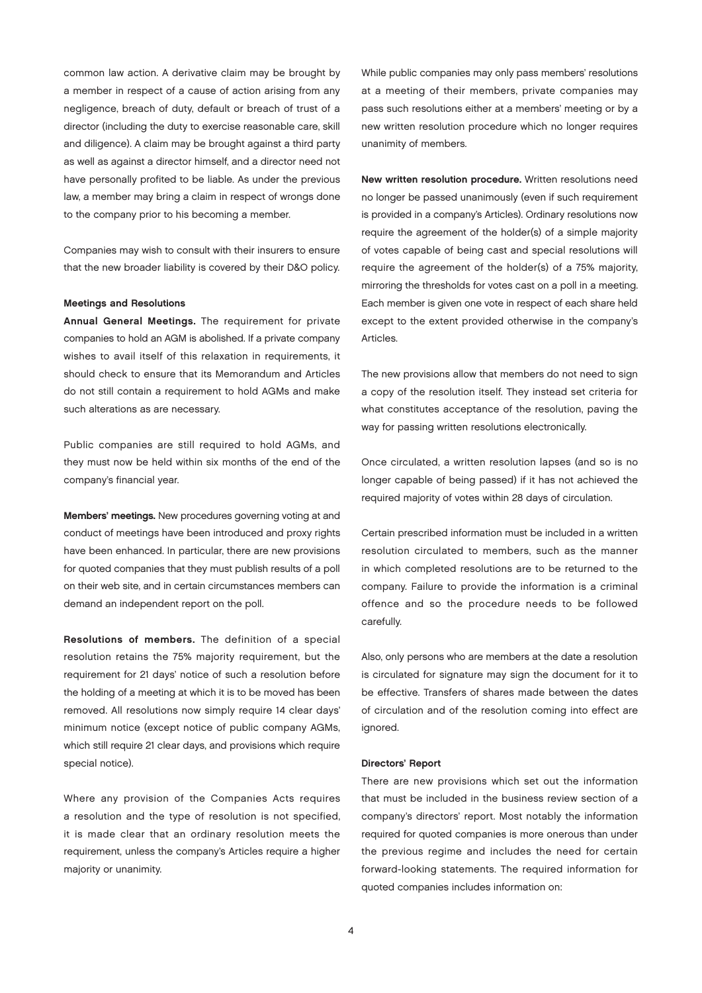common law action. A derivative claim may be brought by a member in respect of a cause of action arising from any negligence, breach of duty, default or breach of trust of a director (including the duty to exercise reasonable care, skill and diligence). A claim may be brought against a third party as well as against a director himself, and a director need not have personally profited to be liable. As under the previous law, a member may bring a claim in respect of wrongs done to the company prior to his becoming a member.

Companies may wish to consult with their insurers to ensure that the new broader liability is covered by their D&O policy.

#### Meetings and Resolutions

Annual General Meetings. The requirement for private companies to hold an AGM is abolished. If a private company wishes to avail itself of this relaxation in requirements, it should check to ensure that its Memorandum and Articles do not still contain a requirement to hold AGMs and make such alterations as are necessary.

Public companies are still required to hold AGMs, and they must now be held within six months of the end of the company's financial year.

Members' meetings. New procedures governing voting at and conduct of meetings have been introduced and proxy rights have been enhanced. In particular, there are new provisions for quoted companies that they must publish results of a poll on their web site, and in certain circumstances members can demand an independent report on the poll.

Resolutions of members. The definition of a special resolution retains the 75% majority requirement, but the requirement for 21 days' notice of such a resolution before the holding of a meeting at which it is to be moved has been removed. All resolutions now simply require 14 clear days' minimum notice (except notice of public company AGMs, which still require 21 clear days, and provisions which require special notice).

Where any provision of the Companies Acts requires a resolution and the type of resolution is not specified, it is made clear that an ordinary resolution meets the requirement, unless the company's Articles require a higher majority or unanimity.

While public companies may only pass members' resolutions at a meeting of their members, private companies may pass such resolutions either at a members' meeting or by a new written resolution procedure which no longer requires unanimity of members.

New written resolution procedure. Written resolutions need no longer be passed unanimously (even if such requirement is provided in a company's Articles). Ordinary resolutions now require the agreement of the holder(s) of a simple majority of votes capable of being cast and special resolutions will require the agreement of the holder(s) of a 75% majority, mirroring the thresholds for votes cast on a poll in a meeting. Each member is given one vote in respect of each share held except to the extent provided otherwise in the company's Articles.

The new provisions allow that members do not need to sign a copy of the resolution itself. They instead set criteria for what constitutes acceptance of the resolution, paving the way for passing written resolutions electronically.

Once circulated, a written resolution lapses (and so is no longer capable of being passed) if it has not achieved the required majority of votes within 28 days of circulation.

Certain prescribed information must be included in a written resolution circulated to members, such as the manner in which completed resolutions are to be returned to the company. Failure to provide the information is a criminal offence and so the procedure needs to be followed carefully.

Also, only persons who are members at the date a resolution is circulated for signature may sign the document for it to be effective. Transfers of shares made between the dates of circulation and of the resolution coming into effect are ignored.

#### Directors' Report

There are new provisions which set out the information that must be included in the business review section of a company's directors' report. Most notably the information required for quoted companies is more onerous than under the previous regime and includes the need for certain forward-looking statements. The required information for quoted companies includes information on: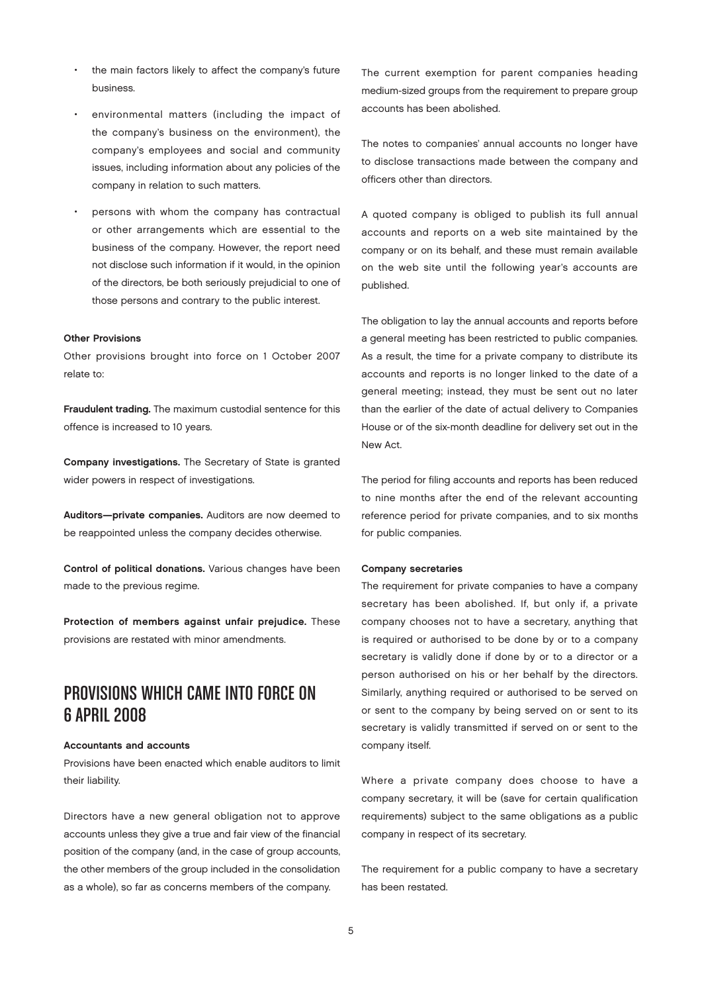- the main factors likely to affect the company's future business.
- environmental matters (including the impact of the company's business on the environment), the company's employees and social and community issues, including information about any policies of the company in relation to such matters.
- persons with whom the company has contractual or other arrangements which are essential to the business of the company. However, the report need not disclose such information if it would, in the opinion of the directors, be both seriously prejudicial to one of those persons and contrary to the public interest.

#### Other Provisions

Other provisions brought into force on 1 October 2007 relate to:

Fraudulent trading. The maximum custodial sentence for this offence is increased to 10 years.

Company investigations. The Secretary of State is granted wider powers in respect of investigations.

Auditors—private companies. Auditors are now deemed to be reappointed unless the company decides otherwise.

Control of political donations. Various changes have been made to the previous regime.

Protection of members against unfair prejudice. These provisions are restated with minor amendments.

### PROVISIONS WHICH CAME INTO FORCE ON 6APRIL 2008

#### Accountants and accounts

Provisions have been enacted which enable auditors to limit their liability.

Directors have a new general obligation not to approve accounts unless they give a true and fair view of the financial position of the company (and, in the case of group accounts, the other members of the group included in the consolidation as a whole), so far as concerns members of the company.

The current exemption for parent companies heading medium-sized groups from the requirement to prepare group accounts has been abolished.

The notes to companies' annual accounts no longer have to disclose transactions made between the company and officers other than directors.

A quoted company is obliged to publish its full annual accounts and reports on a web site maintained by the company or on its behalf, and these must remain available on the web site until the following year's accounts are published.

The obligation to lay the annual accounts and reports before a general meeting has been restricted to public companies. As a result, the time for a private company to distribute its accounts and reports is no longer linked to the date of a general meeting; instead, they must be sent out no later than the earlier of the date of actual delivery to Companies House or of the six-month deadline for delivery set out in the New Act.

The period for filing accounts and reports has been reduced to nine months after the end of the relevant accounting reference period for private companies, and to six months for public companies.

#### Company secretaries

The requirement for private companies to have a company secretary has been abolished. If, but only if, a private company chooses not to have a secretary, anything that is required or authorised to be done by or to a company secretary is validly done if done by or to a director or a person authorised on his or her behalf by the directors. Similarly, anything required or authorised to be served on or sent to the company by being served on or sent to its secretary is validly transmitted if served on or sent to the company itself.

Where a private company does choose to have a company secretary, it will be (save for certain qualification requirements) subject to the same obligations as a public company in respect of its secretary.

The requirement for a public company to have a secretary has been restated.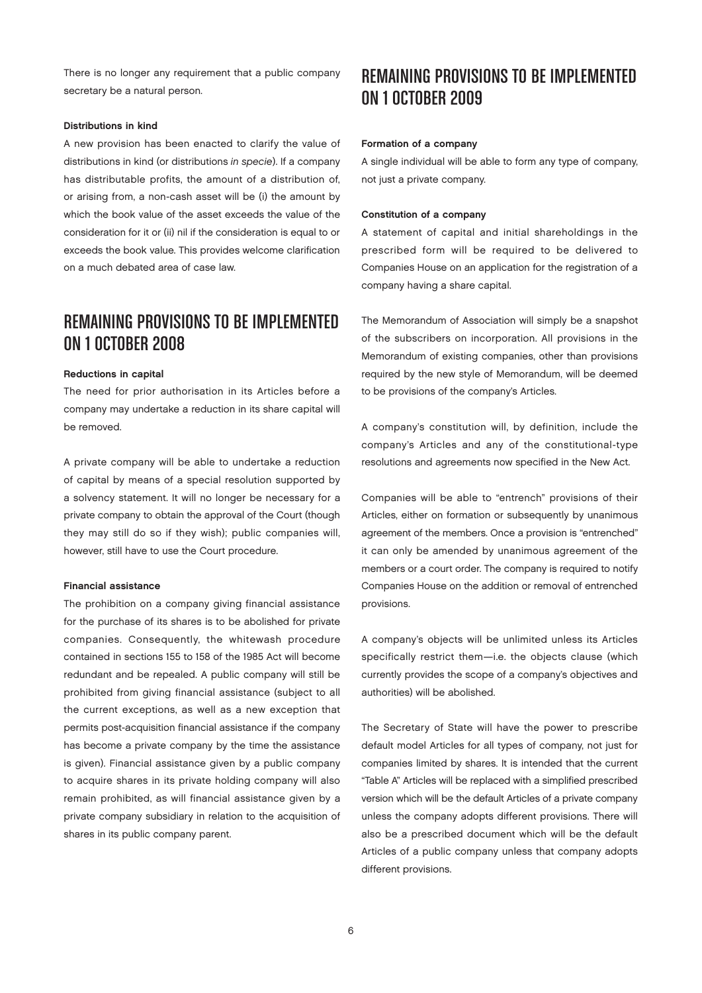There is no longer any requirement that a public company secretary be a natural person.

#### Distributions in kind

A new provision has been enacted to clarify the value of distributions in kind (or distributions in specie). If a company has distributable profits, the amount of a distribution of, or arising from, a non-cash asset will be (i) the amount by which the book value of the asset exceeds the value of the consideration for it or (ii) nil if the consideration is equal to or exceeds the book value. This provides welcome clarification on a much debated area of case law.

# REMAINING PROVISIONS TO BE IMPLEMENTED ON 1 OCTOBER 2008

#### Reductions in capital

The need for prior authorisation in its Articles before a company may undertake a reduction in its share capital will be removed.

A private company will be able to undertake a reduction of capital by means of a special resolution supported by a solvency statement. It will no longer be necessary for a private company to obtain the approval of the Court (though they may still do so if they wish); public companies will, however, still have to use the Court procedure.

#### Financial assistance

The prohibition on a company giving financial assistance for the purchase of its shares is to be abolished for private companies. Consequently, the whitewash procedure contained in sections 155 to 158 of the 1985 Act will become redundant and be repealed. A public company will still be prohibited from giving financial assistance (subject to all the current exceptions, as well as a new exception that permits post-acquisition financial assistance if the company has become a private company by the time the assistance is given). Financial assistance given by a public company to acquire shares in its private holding company will also remain prohibited, as will financial assistance given by a private company subsidiary in relation to the acquisition of shares in its public company parent.

## REMAINING PROVISIONS TO BE IMPLEMENTED ON 1 OCTOBER 2009

#### Formation of a company

A single individual will be able to form any type of company, not just a private company.

#### Constitution of a company

A statement of capital and initial shareholdings in the prescribed form will be required to be delivered to Companies House on an application for the registration of a company having a share capital.

The Memorandum of Association will simply be a snapshot of the subscribers on incorporation. All provisions in the Memorandum of existing companies, other than provisions required by the new style of Memorandum, will be deemed to be provisions of the company's Articles.

A company's constitution will, by definition, include the company's Articles and any of the constitutional-type resolutions and agreements now specified in the New Act.

Companies will be able to "entrench" provisions of their Articles, either on formation or subsequently by unanimous agreement of the members. Once a provision is "entrenched" it can only be amended by unanimous agreement of the members or a court order. The company is required to notify Companies House on the addition or removal of entrenched provisions.

A company's objects will be unlimited unless its Articles specifically restrict them—i.e. the objects clause (which currently provides the scope of a company's objectives and authorities) will be abolished.

The Secretary of State will have the power to prescribe default model Articles for all types of company, not just for companies limited by shares. It is intended that the current "Table A" Articles will be replaced with a simplified prescribed version which will be the default Articles of a private company unless the company adopts different provisions. There will also be a prescribed document which will be the default Articles of a public company unless that company adopts different provisions.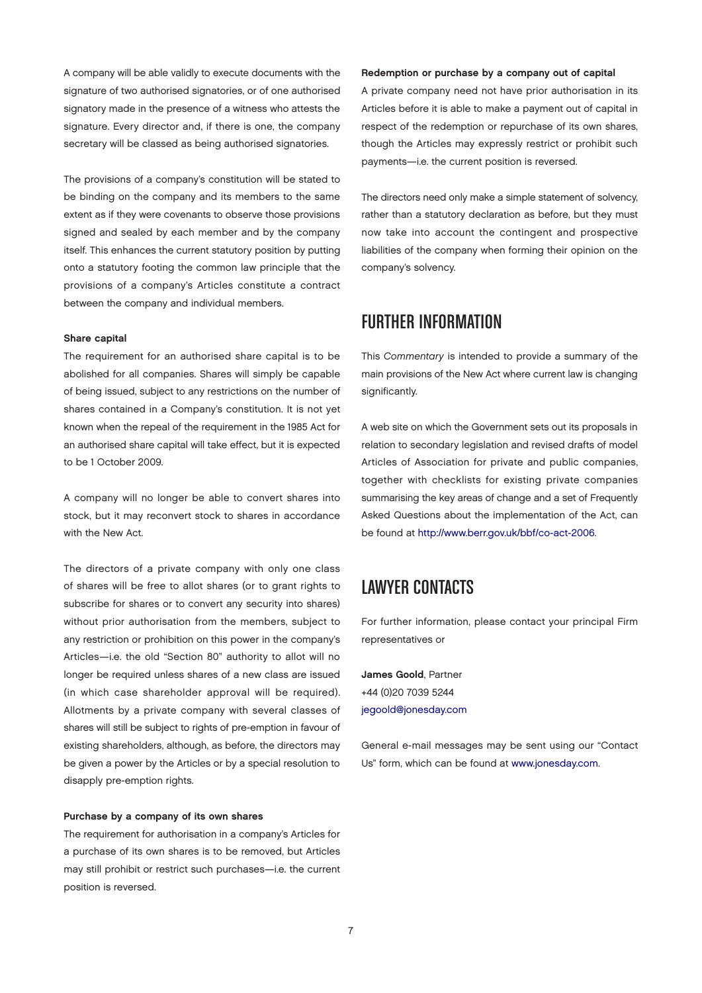A company will be able validly to execute documents with the signature of two authorised signatories, or of one authorised signatory made in the presence of a witness who attests the signature. Every director and, if there is one, the company secretary will be classed as being authorised signatories.

The provisions of a company's constitution will be stated to be binding on the company and its members to the same extent as if they were covenants to observe those provisions signed and sealed by each member and by the company itself. This enhances the current statutory position by putting onto a statutory footing the common law principle that the provisions of a company's Articles constitute a contract between the company and individual members.

#### Share capital

The requirement for an authorised share capital is to be abolished for all companies. Shares will simply be capable of being issued, subject to any restrictions on the number of shares contained in a Company's constitution. It is not yet known when the repeal of the requirement in the 1985 Act for an authorised share capital will take effect, but it is expected to be 1 October 2009.

A company will no longer be able to convert shares into stock, but it may reconvert stock to shares in accordance with the New Act.

The directors of a private company with only one class of shares will be free to allot shares (or to grant rights to subscribe for shares or to convert any security into shares) without prior authorisation from the members, subject to any restriction or prohibition on this power in the company's Articles—i.e. the old "Section 80" authority to allot will no longer be required unless shares of a new class are issued (in which case shareholder approval will be required). Allotments by a private company with several classes of shares will still be subject to rights of pre-emption in favour of existing shareholders, although, as before, the directors may be given a power by the Articles or by a special resolution to disapply pre-emption rights.

#### Purchase by a company of its own shares

The requirement for authorisation in a company's Articles for a purchase of its own shares is to be removed, but Articles may still prohibit or restrict such purchases—i.e. the current position is reversed.

Redemption or purchase by a company out of capital

A private company need not have prior authorisation in its Articles before it is able to make a payment out of capital in respect of the redemption or repurchase of its own shares, though the Articles may expressly restrict or prohibit such payments—i.e. the current position is reversed.

The directors need only make a simple statement of solvency, rather than a statutory declaration as before, but they must now take into account the contingent and prospective liabilities of the company when forming their opinion on the company's solvency.

### FURTHER INFORMATION

This Commentary is intended to provide a summary of the main provisions of the New Act where current law is changing significantly.

A web site on which the Government sets out its proposals in relation to secondary legislation and revised drafts of model Articles of Association for private and public companies, together with checklists for existing private companies summarising the key areas of change and a set of Frequently Asked Questions about the implementation of the Act, can be found at [http://www.berr.gov.uk/bbf/co-act-2006.](http://www.berr.gov.uk/bbf/co-act-2006)

### Lawyer Contacts

For further information, please contact your principal Firm representatives or

James Goold, Partner +44 (0)20 7039 5244 [jegoold@jonesday.com](mailto:jegoold@jonesday.com)

General e-mail messages may be sent using our "Contact Us" form, which can be found at [www.jonesday.com.](http://www.jonesday.com)